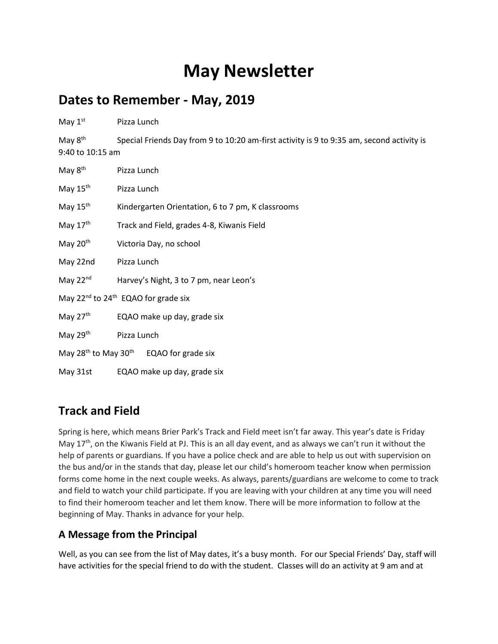## **May Newsletter**

## **Dates to Remember - May, 2019**

| May $1st$                                                       | Pizza Lunch                                                                               |
|-----------------------------------------------------------------|-------------------------------------------------------------------------------------------|
| May $8^{\text{th}}$<br>9:40 to 10:15 am                         | Special Friends Day from 9 to 10:20 am-first activity is 9 to 9:35 am, second activity is |
| May 8 <sup>th</sup>                                             | Pizza Lunch                                                                               |
| May $15th$                                                      | Pizza Lunch                                                                               |
| May 15th                                                        | Kindergarten Orientation, 6 to 7 pm, K classrooms                                         |
| May $17th$                                                      | Track and Field, grades 4-8, Kiwanis Field                                                |
| May $20th$                                                      | Victoria Day, no school                                                                   |
| May 22nd                                                        | Pizza Lunch                                                                               |
| May $22nd$                                                      | Harvey's Night, 3 to 7 pm, near Leon's                                                    |
| May $22^{nd}$ to $24^{th}$ EQAO for grade six                   |                                                                                           |
| May $27th$                                                      | EQAO make up day, grade six                                                               |
| May $29th$                                                      | Pizza Lunch                                                                               |
| May 28 <sup>th</sup> to May 30 <sup>th</sup> EQAO for grade six |                                                                                           |
| May 31st                                                        | EQAO make up day, grade six                                                               |

## **Track and Field**

Spring is here, which means Brier Park's Track and Field meet isn't far away. This year's date is Friday May 17<sup>th</sup>, on the Kiwanis Field at PJ. This is an all day event, and as always we can't run it without the help of parents or guardians. If you have a police check and are able to help us out with supervision on the bus and/or in the stands that day, please let our child's homeroom teacher know when permission forms come home in the next couple weeks. As always, parents/guardians are welcome to come to track and field to watch your child participate. If you are leaving with your children at any time you will need to find their homeroom teacher and let them know. There will be more information to follow at the beginning of May. Thanks in advance for your help.

## **A Message from the Principal**

Well, as you can see from the list of May dates, it's a busy month. For our Special Friends' Day, staff will have activities for the special friend to do with the student. Classes will do an activity at 9 am and at